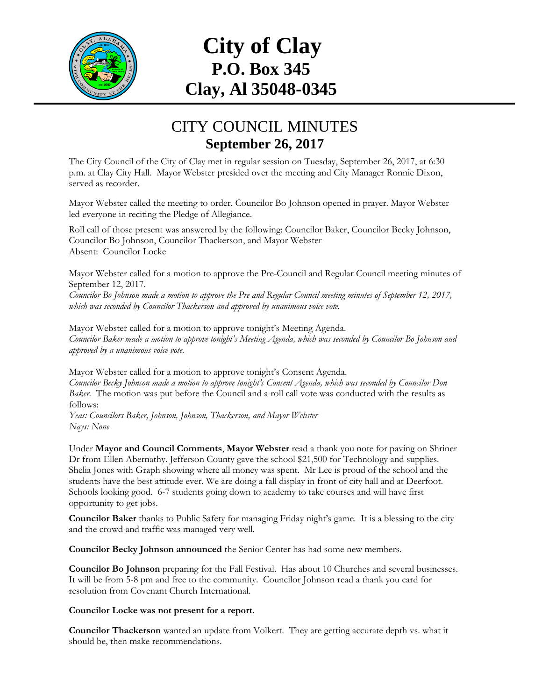

## **City of Clay P.O. Box 345 Clay, Al 35048-0345**

## CITY COUNCIL MINUTES **September 26, 2017**

The City Council of the City of Clay met in regular session on Tuesday, September 26, 2017, at 6:30 p.m. at Clay City Hall. Mayor Webster presided over the meeting and City Manager Ronnie Dixon, served as recorder.

Mayor Webster called the meeting to order. Councilor Bo Johnson opened in prayer. Mayor Webster led everyone in reciting the Pledge of Allegiance.

Roll call of those present was answered by the following: Councilor Baker, Councilor Becky Johnson, Councilor Bo Johnson, Councilor Thackerson, and Mayor Webster Absent: Councilor Locke

Mayor Webster called for a motion to approve the Pre-Council and Regular Council meeting minutes of September 12, 2017.

*Councilor Bo Johnson made a motion to approve the Pre and Regular Council meeting minutes of September 12, 2017, which was seconded by Councilor Thackerson and approved by unanimous voice vote.*

Mayor Webster called for a motion to approve tonight's Meeting Agenda. *Councilor Baker made a motion to approve tonight's Meeting Agenda, which was seconded by Councilor Bo Johnson and approved by a unanimous voice vote.*

Mayor Webster called for a motion to approve tonight's Consent Agenda. *Councilor Becky Johnson made a motion to approve tonight's Consent Agenda, which was seconded by Councilor Don Baker.* The motion was put before the Council and a roll call vote was conducted with the results as follows:

*Yeas: Councilors Baker, Johnson, Johnson, Thackerson, and Mayor Webster Nays: None*

Under **Mayor and Council Comments**, **Mayor Webster** read a thank you note for paving on Shriner Dr from Ellen Abernathy. Jefferson County gave the school \$21,500 for Technology and supplies. Shelia Jones with Graph showing where all money was spent. Mr Lee is proud of the school and the students have the best attitude ever. We are doing a fall display in front of city hall and at Deerfoot. Schools looking good. 6-7 students going down to academy to take courses and will have first opportunity to get jobs.

**Councilor Baker** thanks to Public Safety for managing Friday night's game. It is a blessing to the city and the crowd and traffic was managed very well.

**Councilor Becky Johnson announced** the Senior Center has had some new members.

**Councilor Bo Johnson** preparing for the Fall Festival. Has about 10 Churches and several businesses. It will be from 5-8 pm and free to the community. Councilor Johnson read a thank you card for resolution from Covenant Church International.

## **Councilor Locke was not present for a report.**

**Councilor Thackerson** wanted an update from Volkert. They are getting accurate depth vs. what it should be, then make recommendations.